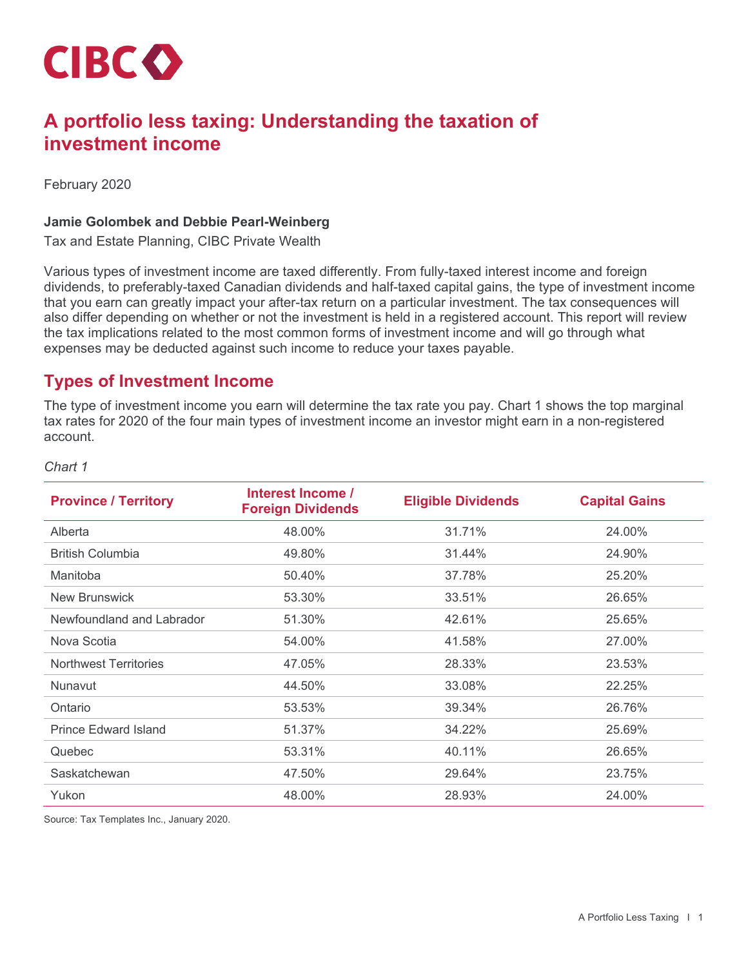

# **A portfolio less taxing: Understanding the taxation of investment income**

February 2020

#### **Jamie Golombek and Debbie Pearl-Weinberg**

Tax and Estate Planning, CIBC Private Wealth

Various types of investment income are taxed differently. From fully-taxed interest income and foreign dividends, to preferably-taxed Canadian dividends and half-taxed capital gains, the type of investment income that you earn can greatly impact your after-tax return on a particular investment. The tax consequences will also differ depending on whether or not the investment is held in a registered account. This report will review the tax implications related to the most common forms of investment income and will go through what expenses may be deducted against such income to reduce your taxes payable.

## **Types of Investment Income**

The type of investment income you earn will determine the tax rate you pay. Chart 1 shows the top marginal tax rates for 2020 of the four main types of investment income an investor might earn in a non-registered account.

#### *Chart 1*

| <b>Province / Territory</b>  | Interest Income /<br><b>Foreign Dividends</b> | <b>Eligible Dividends</b> | <b>Capital Gains</b> |
|------------------------------|-----------------------------------------------|---------------------------|----------------------|
| Alberta                      | 48.00%                                        | 31.71%                    | 24.00%               |
| <b>British Columbia</b>      | 49.80%                                        | 31.44%                    | 24.90%               |
| Manitoba                     | 50.40%                                        | 37.78%                    | 25.20%               |
| <b>New Brunswick</b>         | 53.30%                                        | 33.51%                    | 26.65%               |
| Newfoundland and Labrador    | 51.30%                                        | 42.61%                    | 25.65%               |
| Nova Scotia                  | 54.00%                                        | 41.58%                    | 27.00%               |
| <b>Northwest Territories</b> | 47.05%                                        | 28.33%                    | 23.53%               |
| Nunavut                      | 44.50%                                        | 33.08%                    | 22.25%               |
| Ontario                      | 53.53%                                        | 39.34%                    | 26.76%               |
| <b>Prince Edward Island</b>  | 51.37%                                        | 34.22%                    | 25.69%               |
| Quebec                       | 53.31%                                        | 40.11%                    | 26.65%               |
| Saskatchewan                 | 47.50%                                        | 29.64%                    | 23.75%               |
| Yukon                        | 48.00%                                        | 28.93%                    | 24.00%               |

Source: Tax Templates Inc., January 2020.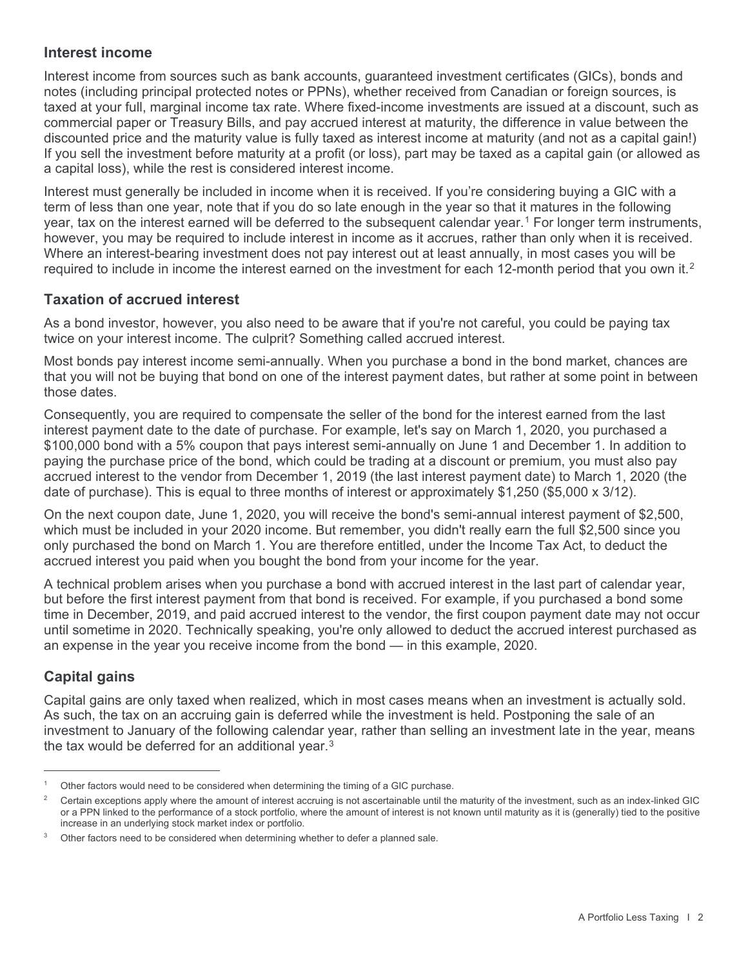### **Interest income**

Interest income from sources such as bank accounts, guaranteed investment certificates (GICs), bonds and notes (including principal protected notes or PPNs), whether received from Canadian or foreign sources, is taxed at your full, marginal income tax rate. Where fixed-income investments are issued at a discount, such as commercial paper or Treasury Bills, and pay accrued interest at maturity, the difference in value between the discounted price and the maturity value is fully taxed as interest income at maturity (and not as a capital gain!) If you sell the investment before maturity at a profit (or loss), part may be taxed as a capital gain (or allowed as a capital loss), while the rest is considered interest income.

Interest must generally be included in income when it is received. If you're considering buying a GIC with a term of less than one year, note that if you do so late enough in the year so that it matures in the following year, tax on the interest earned will be deferred to the subsequent calendar year.[1](#page-1-0) For longer term instruments, however, you may be required to include interest in income as it accrues, rather than only when it is received. Where an interest-bearing investment does not pay interest out at least annually, in most cases you will be required to include in income the interest earned on the investment for each 1[2](#page-1-1)-month period that you own it.<sup>2</sup>

### **Taxation of accrued interest**

As a bond investor, however, you also need to be aware that if you're not careful, you could be paying tax twice on your interest income. The culprit? Something called accrued interest.

Most bonds pay interest income semi-annually. When you purchase a bond in the bond market, chances are that you will not be buying that bond on one of the interest payment dates, but rather at some point in between those dates.

Consequently, you are required to compensate the seller of the bond for the interest earned from the last interest payment date to the date of purchase. For example, let's say on March 1, 2020, you purchased a \$100,000 bond with a 5% coupon that pays interest semi-annually on June 1 and December 1. In addition to paying the purchase price of the bond, which could be trading at a discount or premium, you must also pay accrued interest to the vendor from December 1, 2019 (the last interest payment date) to March 1, 2020 (the date of purchase). This is equal to three months of interest or approximately \$1,250 (\$5,000 x 3/12).

On the next coupon date, June 1, 2020, you will receive the bond's semi-annual interest payment of \$2,500, which must be included in your 2020 income. But remember, you didn't really earn the full \$2,500 since you only purchased the bond on March 1. You are therefore entitled, under the Income Tax Act, to deduct the accrued interest you paid when you bought the bond from your income for the year.

A technical problem arises when you purchase a bond with accrued interest in the last part of calendar year, but before the first interest payment from that bond is received. For example, if you purchased a bond some time in December, 2019, and paid accrued interest to the vendor, the first coupon payment date may not occur until sometime in 2020. Technically speaking, you're only allowed to deduct the accrued interest purchased as an expense in the year you receive income from the bond — in this example, 2020.

## **Capital gains**

Capital gains are only taxed when realized, which in most cases means when an investment is actually sold. As such, the tax on an accruing gain is deferred while the investment is held. Postponing the sale of an investment to January of the following calendar year, rather than selling an investment late in the year, means the tax would be deferred for an additional year.<sup>[3](#page-1-2)</sup>

<span id="page-1-0"></span>Other factors would need to be considered when determining the timing of a GIC purchase.

<span id="page-1-1"></span> $2^{\circ}$  Certain exceptions apply where the amount of interest accruing is not ascertainable until the maturity of the investment, such as an index-linked GIC or a PPN linked to the performance of a stock portfolio, where the amount of interest is not known until maturity as it is (generally) tied to the positive increase in an underlying stock market index or portfolio.

<span id="page-1-2"></span><sup>&</sup>lt;sup>3</sup> Other factors need to be considered when determining whether to defer a planned sale.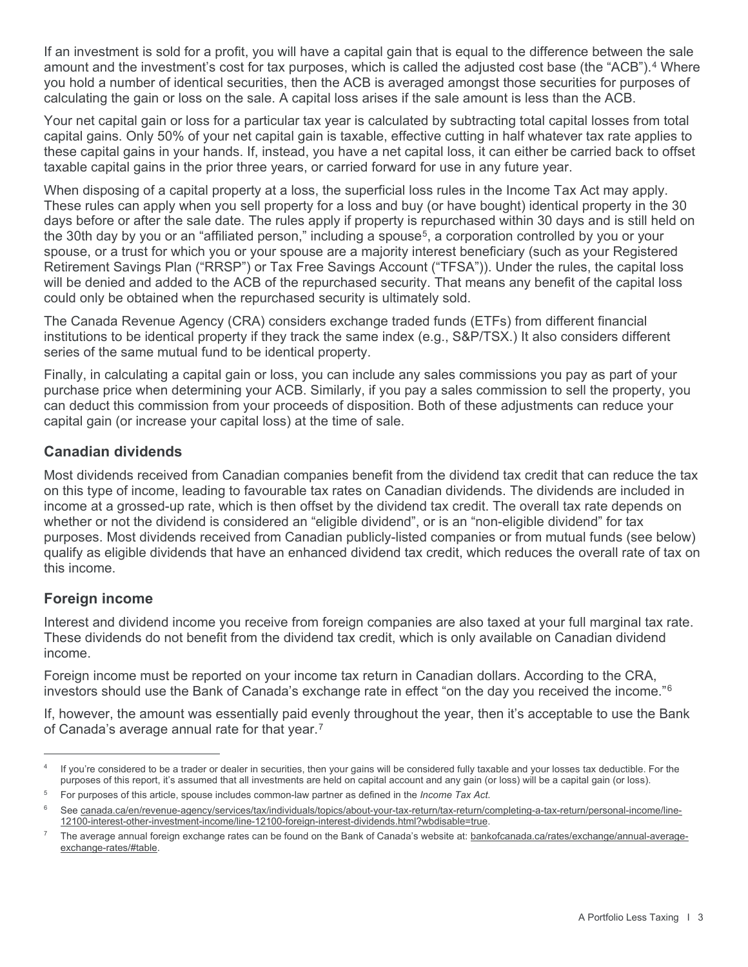If an investment is sold for a profit, you will have a capital gain that is equal to the difference between the sale amount and the investment's cost for tax purposes, which is called the adjusted cost base (the "ACB").<sup>[4](#page-2-0)</sup> Where you hold a number of identical securities, then the ACB is averaged amongst those securities for purposes of calculating the gain or loss on the sale. A capital loss arises if the sale amount is less than the ACB.

Your net capital gain or loss for a particular tax year is calculated by subtracting total capital losses from total capital gains. Only 50% of your net capital gain is taxable, effective cutting in half whatever tax rate applies to these capital gains in your hands. If, instead, you have a net capital loss, it can either be carried back to offset taxable capital gains in the prior three years, or carried forward for use in any future year.

When disposing of a capital property at a loss, the superficial loss rules in the Income Tax Act may apply. These rules can apply when you sell property for a loss and buy (or have bought) identical property in the 30 days before or after the sale date. The rules apply if property is repurchased within 30 days and is still held on the 30th day by you or an "affiliated person," including a spouse<sup>5</sup>, a corporation controlled by you or your spouse, or a trust for which you or your spouse are a majority interest beneficiary (such as your Registered Retirement Savings Plan ("RRSP") or Tax Free Savings Account ("TFSA")). Under the rules, the capital loss will be denied and added to the ACB of the repurchased security. That means any benefit of the capital loss could only be obtained when the repurchased security is ultimately sold.

The Canada Revenue Agency (CRA) considers exchange traded funds (ETFs) from different financial institutions to be identical property if they track the same index (e.g., S&P/TSX.) It also considers different series of the same mutual fund to be identical property.

Finally, in calculating a capital gain or loss, you can include any sales commissions you pay as part of your purchase price when determining your ACB. Similarly, if you pay a sales commission to sell the property, you can deduct this commission from your proceeds of disposition. Both of these adjustments can reduce your capital gain (or increase your capital loss) at the time of sale.

### **Canadian dividends**

Most dividends received from Canadian companies benefit from the dividend tax credit that can reduce the tax on this type of income, leading to favourable tax rates on Canadian dividends. The dividends are included in income at a grossed-up rate, which is then offset by the dividend tax credit. The overall tax rate depends on whether or not the dividend is considered an "eligible dividend", or is an "non-eligible dividend" for tax purposes. Most dividends received from Canadian publicly-listed companies or from mutual funds (see below) qualify as eligible dividends that have an enhanced dividend tax credit, which reduces the overall rate of tax on this income.

## **Foreign income**

Interest and dividend income you receive from foreign companies are also taxed at your full marginal tax rate. These dividends do not benefit from the dividend tax credit, which is only available on Canadian dividend income.

Foreign income must be reported on your income tax return in Canadian dollars. According to the CRA, investors should use the Bank of Canada's exchange rate in effect "on the day you received the income."[6](#page-2-2)

If, however, the amount was essentially paid evenly throughout the year, then it's acceptable to use the Bank of Canada's average annual rate for that year.[7](#page-2-3)

<span id="page-2-0"></span>If you're considered to be a trader or dealer in securities, then your gains will be considered fully taxable and your losses tax deductible. For the purposes of this report, it's assumed that all investments are held on capital account and any gain (or loss) will be a capital gain (or loss).

<span id="page-2-1"></span><sup>5</sup> For purposes of this article, spouse includes common-law partner as defined in the *Income Tax Act*.

<span id="page-2-2"></span><sup>&</sup>lt;sup>6</sup> See [canada.ca/en/revenue-agency/services/tax/individuals/topics/about-your-tax-return/tax-return/completing-a-tax-return/personal-income/line-](https://www.canada.ca/en/revenue-agency/services/tax/individuals/topics/about-your-tax-return/tax-return/completing-a-tax-return/personal-income/line-12100-interest-other-investment-income/line-12100-foreign-interest-dividends.html?wbdisable=true)[12100-interest-other-investment-income/line-12100-foreign-interest-dividends.html?wbdisable=true.](https://www.canada.ca/en/revenue-agency/services/tax/individuals/topics/about-your-tax-return/tax-return/completing-a-tax-return/personal-income/line-12100-interest-other-investment-income/line-12100-foreign-interest-dividends.html?wbdisable=true)

<span id="page-2-3"></span><sup>7</sup> The average annual foreign exchange rates can be found on the Bank of Canada's website at: [bankofcanada.ca/rates/exchange/annual-average](https://www.bankofcanada.ca/rates/exchange/annual-average-exchange-rates/#table)[exchange-rates/#table.](https://www.bankofcanada.ca/rates/exchange/annual-average-exchange-rates/#table)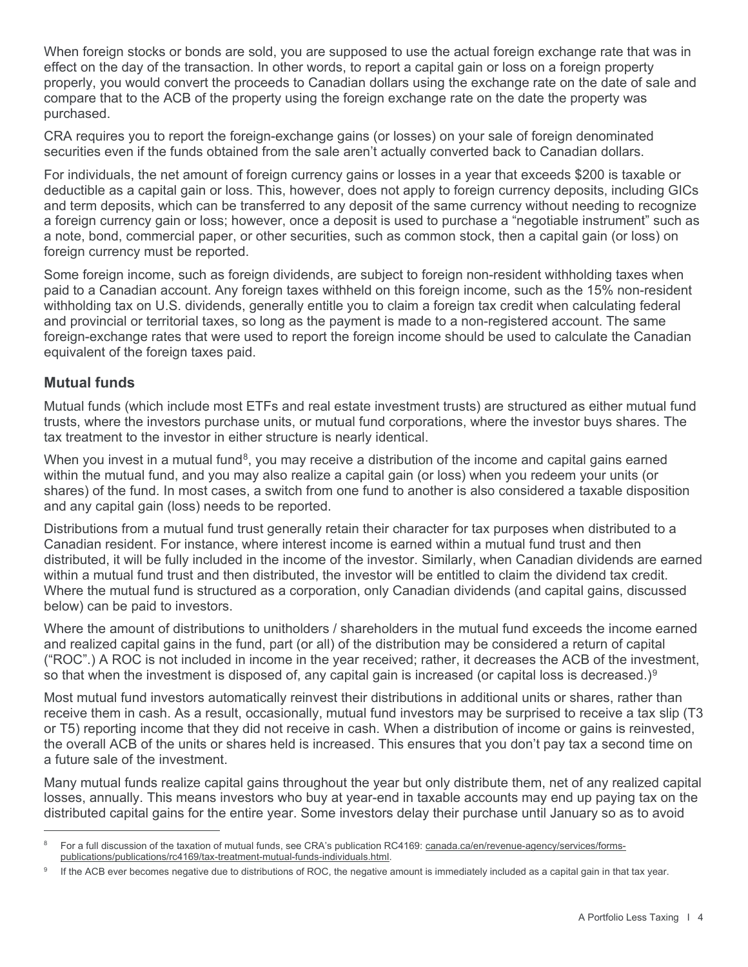When foreign stocks or bonds are sold, you are supposed to use the actual foreign exchange rate that was in effect on the day of the transaction. In other words, to report a capital gain or loss on a foreign property properly, you would convert the proceeds to Canadian dollars using the exchange rate on the date of sale and compare that to the ACB of the property using the foreign exchange rate on the date the property was purchased.

CRA requires you to report the foreign-exchange gains (or losses) on your sale of foreign denominated securities even if the funds obtained from the sale aren't actually converted back to Canadian dollars.

For individuals, the net amount of foreign currency gains or losses in a year that exceeds \$200 is taxable or deductible as a capital gain or loss. This, however, does not apply to foreign currency deposits, including GICs and term deposits, which can be transferred to any deposit of the same currency without needing to recognize a foreign currency gain or loss; however, once a deposit is used to purchase a "negotiable instrument" such as a note, bond, commercial paper, or other securities, such as common stock, then a capital gain (or loss) on foreign currency must be reported.

Some foreign income, such as foreign dividends, are subject to foreign non-resident withholding taxes when paid to a Canadian account. Any foreign taxes withheld on this foreign income, such as the 15% non-resident withholding tax on U.S. dividends, generally entitle you to claim a foreign tax credit when calculating federal and provincial or territorial taxes, so long as the payment is made to a non-registered account. The same foreign-exchange rates that were used to report the foreign income should be used to calculate the Canadian equivalent of the foreign taxes paid.

### **Mutual funds**

Mutual funds (which include most ETFs and real estate investment trusts) are structured as either mutual fund trusts, where the investors purchase units, or mutual fund corporations, where the investor buys shares. The tax treatment to the investor in either structure is nearly identical.

When you invest in a mutual fund<sup>[8](#page-3-0)</sup>, you may receive a distribution of the income and capital gains earned within the mutual fund, and you may also realize a capital gain (or loss) when you redeem your units (or shares) of the fund. In most cases, a switch from one fund to another is also considered a taxable disposition and any capital gain (loss) needs to be reported.

Distributions from a mutual fund trust generally retain their character for tax purposes when distributed to a Canadian resident. For instance, where interest income is earned within a mutual fund trust and then distributed, it will be fully included in the income of the investor. Similarly, when Canadian dividends are earned within a mutual fund trust and then distributed, the investor will be entitled to claim the dividend tax credit. Where the mutual fund is structured as a corporation, only Canadian dividends (and capital gains, discussed below) can be paid to investors.

Where the amount of distributions to unitholders / shareholders in the mutual fund exceeds the income earned and realized capital gains in the fund, part (or all) of the distribution may be considered a return of capital ("ROC".) A ROC is not included in income in the year received; rather, it decreases the ACB of the investment, so that when the investment is disposed of, any capital gain is increased (or capital loss is decreased.)<sup>[9](#page-3-1)</sup>

Most mutual fund investors automatically reinvest their distributions in additional units or shares, rather than receive them in cash. As a result, occasionally, mutual fund investors may be surprised to receive a tax slip (T3 or T5) reporting income that they did not receive in cash. When a distribution of income or gains is reinvested, the overall ACB of the units or shares held is increased. This ensures that you don't pay tax a second time on a future sale of the investment.

Many mutual funds realize capital gains throughout the year but only distribute them, net of any realized capital losses, annually. This means investors who buy at year-end in taxable accounts may end up paying tax on the distributed capital gains for the entire year. Some investors delay their purchase until January so as to avoid

<span id="page-3-0"></span><sup>8</sup> For a full discussion of the taxation of mutual funds, see CRA's publication RC4169[: canada.ca/en/revenue-agency/services/forms](https://www.canada.ca/en/revenue-agency/services/forms-publications/publications/rc4169/tax-treatment-mutual-funds-individuals.html)[publications/publications/rc4169/tax-treatment-mutual-funds-individuals.html.](https://www.canada.ca/en/revenue-agency/services/forms-publications/publications/rc4169/tax-treatment-mutual-funds-individuals.html)

<span id="page-3-1"></span>If the ACB ever becomes negative due to distributions of ROC, the negative amount is immediately included as a capital gain in that tax year.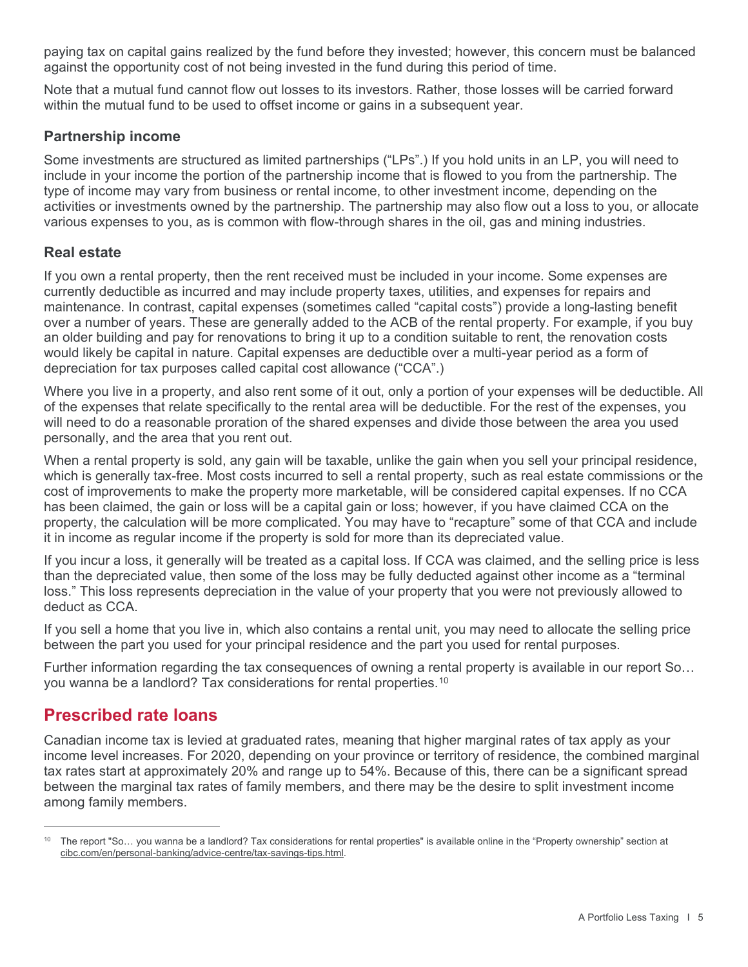paying tax on capital gains realized by the fund before they invested; however, this concern must be balanced against the opportunity cost of not being invested in the fund during this period of time.

Note that a mutual fund cannot flow out losses to its investors. Rather, those losses will be carried forward within the mutual fund to be used to offset income or gains in a subsequent year.

### **Partnership income**

Some investments are structured as limited partnerships ("LPs".) If you hold units in an LP, you will need to include in your income the portion of the partnership income that is flowed to you from the partnership. The type of income may vary from business or rental income, to other investment income, depending on the activities or investments owned by the partnership. The partnership may also flow out a loss to you, or allocate various expenses to you, as is common with flow-through shares in the oil, gas and mining industries.

### **Real estate**

If you own a rental property, then the rent received must be included in your income. Some expenses are currently deductible as incurred and may include property taxes, utilities, and expenses for repairs and maintenance. In contrast, capital expenses (sometimes called "capital costs") provide a long-lasting benefit over a number of years. These are generally added to the ACB of the rental property. For example, if you buy an older building and pay for renovations to bring it up to a condition suitable to rent, the renovation costs would likely be capital in nature. Capital expenses are deductible over a multi-year period as a form of depreciation for tax purposes called capital cost allowance ("CCA".)

Where you live in a property, and also rent some of it out, only a portion of your expenses will be deductible. All of the expenses that relate specifically to the rental area will be deductible. For the rest of the expenses, you will need to do a reasonable proration of the shared expenses and divide those between the area you used personally, and the area that you rent out.

When a rental property is sold, any gain will be taxable, unlike the gain when you sell your principal residence, which is generally tax-free. Most costs incurred to sell a rental property, such as real estate commissions or the cost of improvements to make the property more marketable, will be considered capital expenses. If no CCA has been claimed, the gain or loss will be a capital gain or loss; however, if you have claimed CCA on the property, the calculation will be more complicated. You may have to "recapture" some of that CCA and include it in income as regular income if the property is sold for more than its depreciated value.

If you incur a loss, it generally will be treated as a capital loss. If CCA was claimed, and the selling price is less than the depreciated value, then some of the loss may be fully deducted against other income as a "terminal loss." This loss represents depreciation in the value of your property that you were not previously allowed to deduct as CCA.

If you sell a home that you live in, which also contains a rental unit, you may need to allocate the selling price between the part you used for your principal residence and the part you used for rental purposes.

Further information regarding the tax consequences of owning a rental property is available in our report So… you wanna be a landlord? Tax considerations for rental properties.[10](#page-4-0)

# **Prescribed rate loans**

Canadian income tax is levied at graduated rates, meaning that higher marginal rates of tax apply as your income level increases. For 2020, depending on your province or territory of residence, the combined marginal tax rates start at approximately 20% and range up to 54%. Because of this, there can be a significant spread between the marginal tax rates of family members, and there may be the desire to split investment income among family members.

<span id="page-4-0"></span><sup>&</sup>lt;sup>10</sup> The report "So... you wanna be a landlord? Tax considerations for rental properties" is available online in the "Property ownership" section at [cibc.com/en/personal-banking/advice-centre/tax-savings-tips.html.](https://www.cibc.com/en/personal-banking/advice-centre/tax-savings-tips.html)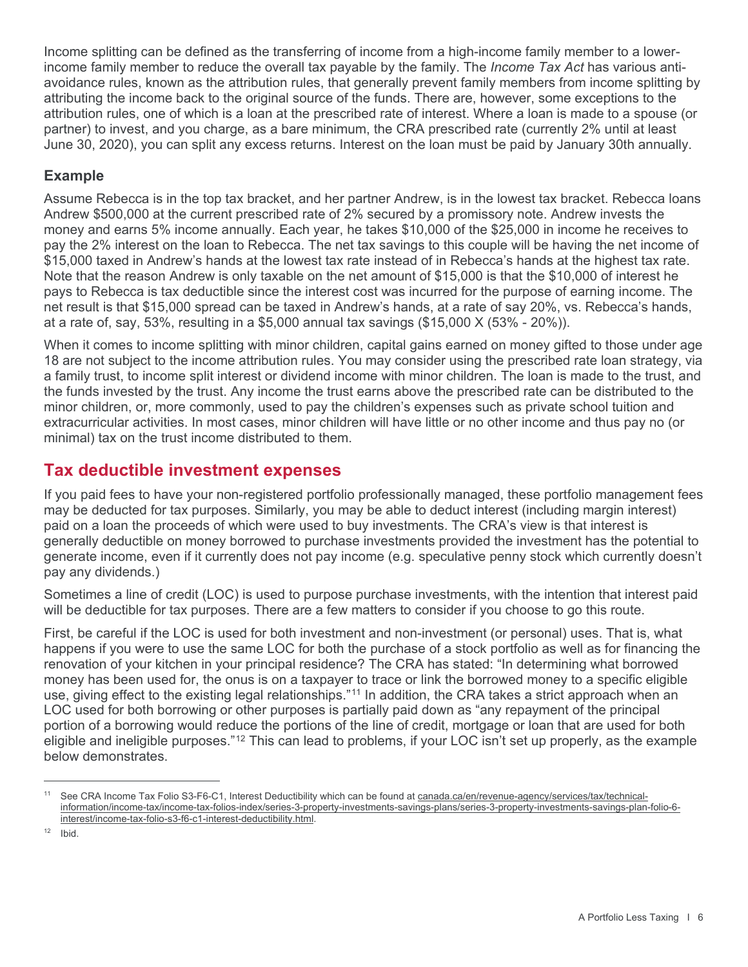Income splitting can be defined as the transferring of income from a high-income family member to a lowerincome family member to reduce the overall tax payable by the family. The *Income Tax Act* has various antiavoidance rules, known as the attribution rules, that generally prevent family members from income splitting by attributing the income back to the original source of the funds. There are, however, some exceptions to the attribution rules, one of which is a loan at the prescribed rate of interest. Where a loan is made to a spouse (or partner) to invest, and you charge, as a bare minimum, the CRA prescribed rate (currently 2% until at least June 30, 2020), you can split any excess returns. Interest on the loan must be paid by January 30th annually.

### **Example**

Assume Rebecca is in the top tax bracket, and her partner Andrew, is in the lowest tax bracket. Rebecca loans Andrew \$500,000 at the current prescribed rate of 2% secured by a promissory note. Andrew invests the money and earns 5% income annually. Each year, he takes \$10,000 of the \$25,000 in income he receives to pay the 2% interest on the loan to Rebecca. The net tax savings to this couple will be having the net income of \$15,000 taxed in Andrew's hands at the lowest tax rate instead of in Rebecca's hands at the highest tax rate. Note that the reason Andrew is only taxable on the net amount of \$15,000 is that the \$10,000 of interest he pays to Rebecca is tax deductible since the interest cost was incurred for the purpose of earning income. The net result is that \$15,000 spread can be taxed in Andrew's hands, at a rate of say 20%, vs. Rebecca's hands, at a rate of, say, 53%, resulting in a \$5,000 annual tax savings  $(\$15,000 X (53% - 20%)).$ 

When it comes to income splitting with minor children, capital gains earned on money gifted to those under age 18 are not subject to the income attribution rules. You may consider using the prescribed rate loan strategy, via a family trust, to income split interest or dividend income with minor children. The loan is made to the trust, and the funds invested by the trust. Any income the trust earns above the prescribed rate can be distributed to the minor children, or, more commonly, used to pay the children's expenses such as private school tuition and extracurricular activities. In most cases, minor children will have little or no other income and thus pay no (or minimal) tax on the trust income distributed to them.

# **Tax deductible investment expenses**

If you paid fees to have your non-registered portfolio professionally managed, these portfolio management fees may be deducted for tax purposes. Similarly, you may be able to deduct interest (including margin interest) paid on a loan the proceeds of which were used to buy investments. The CRA's view is that interest is generally deductible on money borrowed to purchase investments provided the investment has the potential to generate income, even if it currently does not pay income (e.g. speculative penny stock which currently doesn't pay any dividends.)

Sometimes a line of credit (LOC) is used to purpose purchase investments, with the intention that interest paid will be deductible for tax purposes. There are a few matters to consider if you choose to go this route.

First, be careful if the LOC is used for both investment and non-investment (or personal) uses. That is, what happens if you were to use the same LOC for both the purchase of a stock portfolio as well as for financing the renovation of your kitchen in your principal residence? The CRA has stated: "In determining what borrowed money has been used for, the onus is on a taxpayer to trace or link the borrowed money to a specific eligible use, giving effect to the existing legal relationships."[11](#page-5-0) In addition, the CRA takes a strict approach when an LOC used for both borrowing or other purposes is partially paid down as "any repayment of the principal portion of a borrowing would reduce the portions of the line of credit, mortgage or loan that are used for both eligible and ineligible purposes."<sup>[12](#page-5-1)</sup> This can lead to problems, if your LOC isn't set up properly, as the example below demonstrates.

<span id="page-5-0"></span><sup>11</sup> See CRA Income Tax Folio S3-F6-C1, Interest Deductibility which can be found at [canada.ca/en/revenue-agency/services/tax/technical](https://www.canada.ca/en/revenue-agency/services/tax/technical-information/income-tax/income-tax-folios-index/series-3-property-investments-savings-plans/series-3-property-investments-savings-plan-folio-6-interest/income-tax-folio-s3-f6-c1-interest-deductibility.html)[information/income-tax/income-tax-folios-index/series-3-property-investments-savings-plans/series-3-property-investments-savings-plan-folio-6](https://www.canada.ca/en/revenue-agency/services/tax/technical-information/income-tax/income-tax-folios-index/series-3-property-investments-savings-plans/series-3-property-investments-savings-plan-folio-6-interest/income-tax-folio-s3-f6-c1-interest-deductibility.html) [interest/income-tax-folio-s3-f6-c1-interest-deductibility.html.](https://www.canada.ca/en/revenue-agency/services/tax/technical-information/income-tax/income-tax-folios-index/series-3-property-investments-savings-plans/series-3-property-investments-savings-plan-folio-6-interest/income-tax-folio-s3-f6-c1-interest-deductibility.html)

<span id="page-5-1"></span> $12$  Ibid.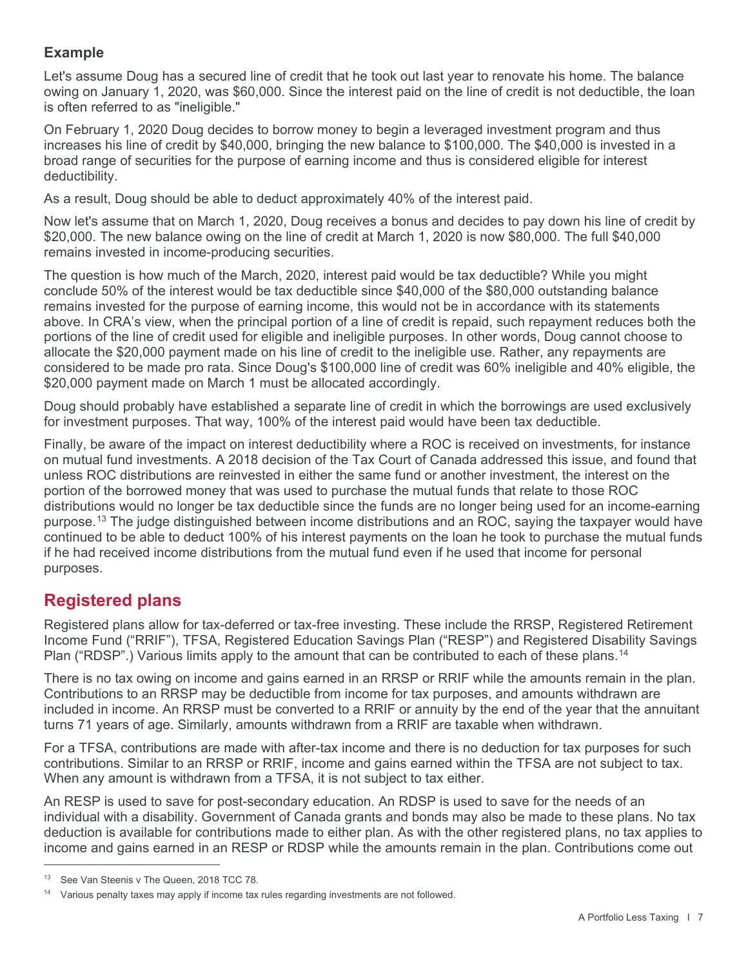## **Example**

Let's assume Doug has a secured line of credit that he took out last year to renovate his home. The balance owing on January 1, 2020, was \$60,000. Since the interest paid on the line of credit is not deductible, the loan is often referred to as "ineligible."

On February 1, 2020 Doug decides to borrow money to begin a leveraged investment program and thus increases his line of credit by \$40,000, bringing the new balance to \$100,000. The \$40,000 is invested in a broad range of securities for the purpose of earning income and thus is considered eligible for interest deductibility.

As a result, Doug should be able to deduct approximately 40% of the interest paid.

Now let's assume that on March 1, 2020, Doug receives a bonus and decides to pay down his line of credit by \$20,000. The new balance owing on the line of credit at March 1, 2020 is now \$80,000. The full \$40,000 remains invested in income-producing securities.

The question is how much of the March, 2020, interest paid would be tax deductible? While you might conclude 50% of the interest would be tax deductible since \$40,000 of the \$80,000 outstanding balance remains invested for the purpose of earning income, this would not be in accordance with its statements above. In CRA's view, when the principal portion of a line of credit is repaid, such repayment reduces both the portions of the line of credit used for eligible and ineligible purposes. In other words, Doug cannot choose to allocate the \$20,000 payment made on his line of credit to the ineligible use. Rather, any repayments are considered to be made pro rata. Since Doug's \$100,000 line of credit was 60% ineligible and 40% eligible, the \$20,000 payment made on March 1 must be allocated accordingly.

Doug should probably have established a separate line of credit in which the borrowings are used exclusively for investment purposes. That way, 100% of the interest paid would have been tax deductible.

Finally, be aware of the impact on interest deductibility where a ROC is received on investments, for instance on mutual fund investments. A 2018 decision of the Tax Court of Canada addressed this issue, and found that unless ROC distributions are reinvested in either the same fund or another investment, the interest on the portion of the borrowed money that was used to purchase the mutual funds that relate to those ROC distributions would no longer be tax deductible since the funds are no longer being used for an income-earning purpose.[13](#page-6-0) The judge distinguished between income distributions and an ROC, saying the taxpayer would have continued to be able to deduct 100% of his interest payments on the loan he took to purchase the mutual funds if he had received income distributions from the mutual fund even if he used that income for personal purposes.

# **Registered plans**

Registered plans allow for tax-deferred or tax-free investing. These include the RRSP, Registered Retirement Income Fund ("RRIF"), TFSA, Registered Education Savings Plan ("RESP") and Registered Disability Savings Plan ("RDSP".) Various limits apply to the amount that can be contributed to each of these plans.<sup>[14](#page-6-1)</sup>

There is no tax owing on income and gains earned in an RRSP or RRIF while the amounts remain in the plan. Contributions to an RRSP may be deductible from income for tax purposes, and amounts withdrawn are included in income. An RRSP must be converted to a RRIF or annuity by the end of the year that the annuitant turns 71 years of age. Similarly, amounts withdrawn from a RRIF are taxable when withdrawn.

For a TFSA, contributions are made with after-tax income and there is no deduction for tax purposes for such contributions. Similar to an RRSP or RRIF, income and gains earned within the TFSA are not subject to tax. When any amount is withdrawn from a TFSA, it is not subject to tax either.

An RESP is used to save for post-secondary education. An RDSP is used to save for the needs of an individual with a disability. Government of Canada grants and bonds may also be made to these plans. No tax deduction is available for contributions made to either plan. As with the other registered plans, no tax applies to income and gains earned in an RESP or RDSP while the amounts remain in the plan. Contributions come out

<span id="page-6-0"></span><sup>&</sup>lt;sup>13</sup> See Van Steenis v The Queen, 2018 TCC 78.

<span id="page-6-1"></span> $14$  Various penalty taxes may apply if income tax rules regarding investments are not followed.